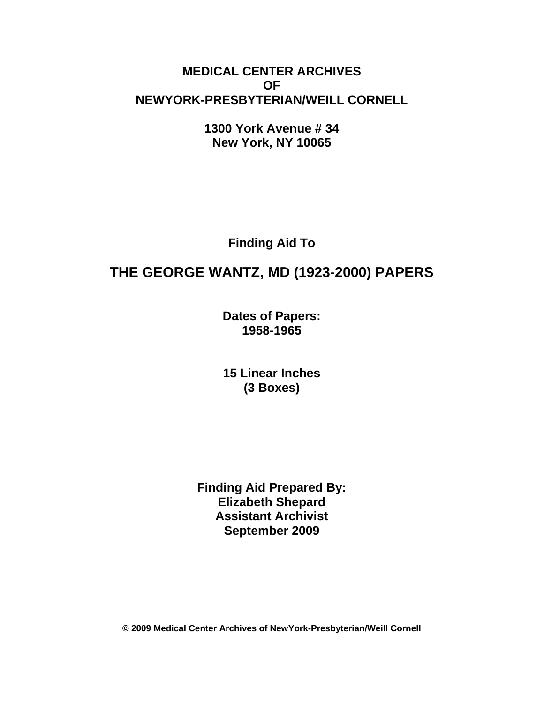## **MEDICAL CENTER ARCHIVES OF NEWYORK-PRESBYTERIAN/WEILL CORNELL**

**1300 York Avenue # 34 New York, NY 10065** 

**Finding Aid To** 

# **THE GEORGE WANTZ, MD (1923-2000) PAPERS**

**Dates of Papers: 1958-1965**

**15 Linear Inches (3 Boxes)** 

**Finding Aid Prepared By: Elizabeth Shepard Assistant Archivist September 2009** 

**© 2009 Medical Center Archives of NewYork-Presbyterian/Weill Cornell**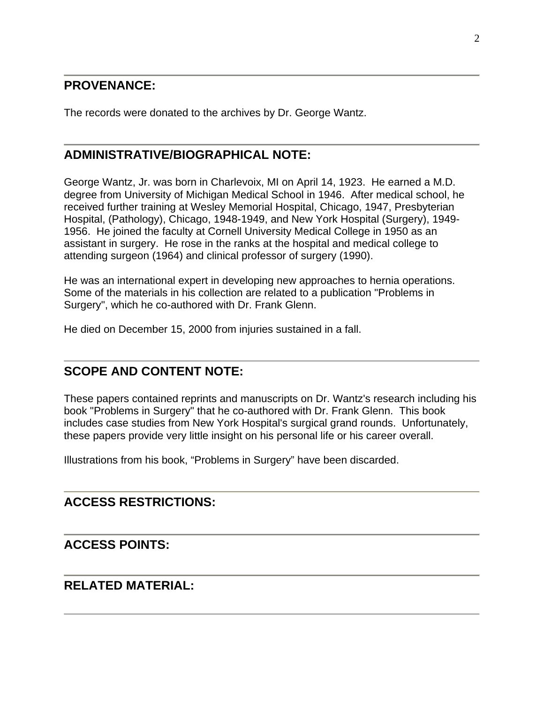#### **PROVENANCE:**

The records were donated to the archives by Dr. George Wantz.

#### **ADMINISTRATIVE/BIOGRAPHICAL NOTE:**

George Wantz, Jr. was born in Charlevoix, MI on April 14, 1923. He earned a M.D. degree from University of Michigan Medical School in 1946. After medical school, he received further training at Wesley Memorial Hospital, Chicago, 1947, Presbyterian Hospital, (Pathology), Chicago, 1948-1949, and New York Hospital (Surgery), 1949- 1956. He joined the faculty at Cornell University Medical College in 1950 as an assistant in surgery. He rose in the ranks at the hospital and medical college to attending surgeon (1964) and clinical professor of surgery (1990).

He was an international expert in developing new approaches to hernia operations. Some of the materials in his collection are related to a publication "Problems in Surgery", which he co-authored with Dr. Frank Glenn.

He died on December 15, 2000 from injuries sustained in a fall.

## **SCOPE AND CONTENT NOTE:**

These papers contained reprints and manuscripts on Dr. Wantz's research including his book "Problems in Surgery" that he co-authored with Dr. Frank Glenn. This book includes case studies from New York Hospital's surgical grand rounds. Unfortunately, these papers provide very little insight on his personal life or his career overall.

Illustrations from his book, "Problems in Surgery" have been discarded.

#### **ACCESS RESTRICTIONS:**

#### **ACCESS POINTS:**

#### **RELATED MATERIAL:**